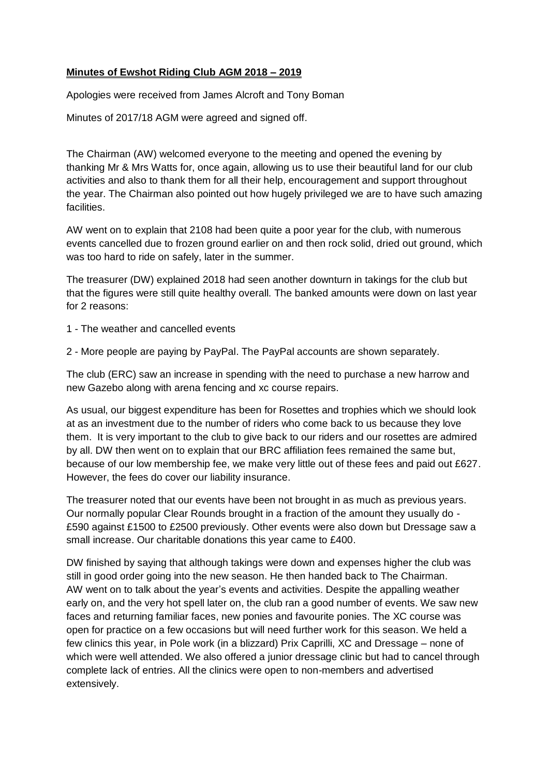## **Minutes of Ewshot Riding Club AGM 2018 – 2019**

Apologies were received from James Alcroft and Tony Boman

Minutes of 2017/18 AGM were agreed and signed off.

The Chairman (AW) welcomed everyone to the meeting and opened the evening by thanking Mr & Mrs Watts for, once again, allowing us to use their beautiful land for our club activities and also to thank them for all their help, encouragement and support throughout the year. The Chairman also pointed out how hugely privileged we are to have such amazing facilities.

AW went on to explain that 2108 had been quite a poor year for the club, with numerous events cancelled due to frozen ground earlier on and then rock solid, dried out ground, which was too hard to ride on safely, later in the summer.

The treasurer (DW) explained 2018 had seen another downturn in takings for the club but that the figures were still quite healthy overall. The banked amounts were down on last year for 2 reasons:

- 1 The weather and cancelled events
- 2 More people are paying by PayPal. The PayPal accounts are shown separately.

The club (ERC) saw an increase in spending with the need to purchase a new harrow and new Gazebo along with arena fencing and xc course repairs.

As usual, our biggest expenditure has been for Rosettes and trophies which we should look at as an investment due to the number of riders who come back to us because they love them. It is very important to the club to give back to our riders and our rosettes are admired by all. DW then went on to explain that our BRC affiliation fees remained the same but, because of our low membership fee, we make very little out of these fees and paid out £627. However, the fees do cover our liability insurance.

The treasurer noted that our events have been not brought in as much as previous years. Our normally popular Clear Rounds brought in a fraction of the amount they usually do - £590 against £1500 to £2500 previously. Other events were also down but Dressage saw a small increase. Our charitable donations this year came to £400.

DW finished by saying that although takings were down and expenses higher the club was still in good order going into the new season. He then handed back to The Chairman. AW went on to talk about the year's events and activities. Despite the appalling weather early on, and the very hot spell later on, the club ran a good number of events. We saw new faces and returning familiar faces, new ponies and favourite ponies. The XC course was open for practice on a few occasions but will need further work for this season. We held a few clinics this year, in Pole work (in a blizzard) Prix Caprilli, XC and Dressage – none of which were well attended. We also offered a junior dressage clinic but had to cancel through complete lack of entries. All the clinics were open to non-members and advertised extensively.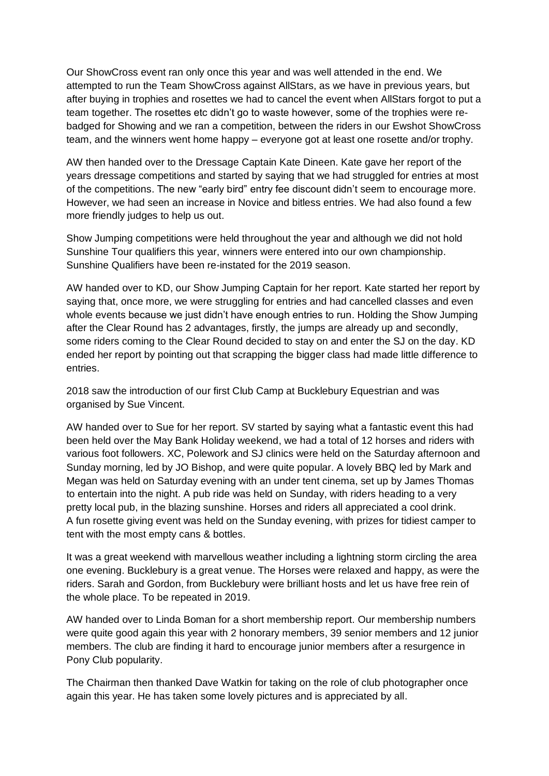Our ShowCross event ran only once this year and was well attended in the end. We attempted to run the Team ShowCross against AllStars, as we have in previous years, but after buying in trophies and rosettes we had to cancel the event when AllStars forgot to put a team together. The rosettes etc didn't go to waste however, some of the trophies were rebadged for Showing and we ran a competition, between the riders in our Ewshot ShowCross team, and the winners went home happy – everyone got at least one rosette and/or trophy.

AW then handed over to the Dressage Captain Kate Dineen. Kate gave her report of the years dressage competitions and started by saying that we had struggled for entries at most of the competitions. The new "early bird" entry fee discount didn't seem to encourage more. However, we had seen an increase in Novice and bitless entries. We had also found a few more friendly judges to help us out.

Show Jumping competitions were held throughout the year and although we did not hold Sunshine Tour qualifiers this year, winners were entered into our own championship. Sunshine Qualifiers have been re-instated for the 2019 season.

AW handed over to KD, our Show Jumping Captain for her report. Kate started her report by saying that, once more, we were struggling for entries and had cancelled classes and even whole events because we just didn't have enough entries to run. Holding the Show Jumping after the Clear Round has 2 advantages, firstly, the jumps are already up and secondly, some riders coming to the Clear Round decided to stay on and enter the SJ on the day. KD ended her report by pointing out that scrapping the bigger class had made little difference to entries.

2018 saw the introduction of our first Club Camp at Bucklebury Equestrian and was organised by Sue Vincent.

AW handed over to Sue for her report. SV started by saying what a fantastic event this had been held over the May Bank Holiday weekend, we had a total of 12 horses and riders with various foot followers. XC, Polework and SJ clinics were held on the Saturday afternoon and Sunday morning, led by JO Bishop, and were quite popular. A lovely BBQ led by Mark and Megan was held on Saturday evening with an under tent cinema, set up by James Thomas to entertain into the night. A pub ride was held on Sunday, with riders heading to a very pretty local pub, in the blazing sunshine. Horses and riders all appreciated a cool drink. A fun rosette giving event was held on the Sunday evening, with prizes for tidiest camper to tent with the most empty cans & bottles.

It was a great weekend with marvellous weather including a lightning storm circling the area one evening. Bucklebury is a great venue. The Horses were relaxed and happy, as were the riders. Sarah and Gordon, from Bucklebury were brilliant hosts and let us have free rein of the whole place. To be repeated in 2019.

AW handed over to Linda Boman for a short membership report. Our membership numbers were quite good again this year with 2 honorary members, 39 senior members and 12 junior members. The club are finding it hard to encourage junior members after a resurgence in Pony Club popularity.

The Chairman then thanked Dave Watkin for taking on the role of club photographer once again this year. He has taken some lovely pictures and is appreciated by all.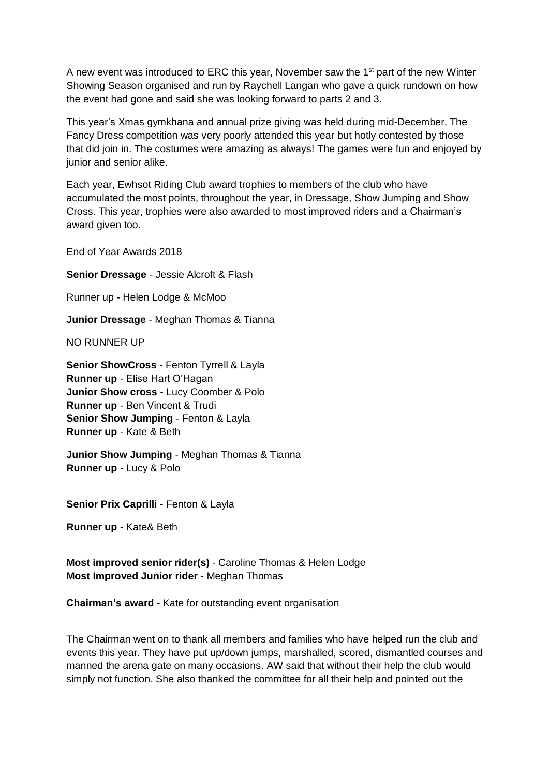A new event was introduced to ERC this year, November saw the  $1<sup>st</sup>$  part of the new Winter Showing Season organised and run by Raychell Langan who gave a quick rundown on how the event had gone and said she was looking forward to parts 2 and 3.

This year's Xmas gymkhana and annual prize giving was held during mid-December. The Fancy Dress competition was very poorly attended this year but hotly contested by those that did join in. The costumes were amazing as always! The games were fun and enjoyed by junior and senior alike.

Each year, Ewhsot Riding Club award trophies to members of the club who have accumulated the most points, throughout the year, in Dressage, Show Jumping and Show Cross. This year, trophies were also awarded to most improved riders and a Chairman's award given too.

End of Year Awards 2018

**Senior Dressage** - Jessie Alcroft & Flash Runner up - Helen Lodge & McMoo **Junior Dressage** - Meghan Thomas & Tianna NO RUNNER UP **Senior ShowCross** - Fenton Tyrrell & Layla **Runner up** - Elise Hart O'Hagan **Junior Show cross** - Lucy Coomber & Polo **Runner up** - Ben Vincent & Trudi **Senior Show Jumping** - Fenton & Layla **Runner up** - Kate & Beth

**Junior Show Jumping** - Meghan Thomas & Tianna **Runner up** - Lucy & Polo

**Senior Prix Caprilli** - Fenton & Layla

**Runner up** - Kate& Beth

**Most improved senior rider(s)** - Caroline Thomas & Helen Lodge **Most Improved Junior rider** - Meghan Thomas

**Chairman's award** - Kate for outstanding event organisation

The Chairman went on to thank all members and families who have helped run the club and events this year. They have put up/down jumps, marshalled, scored, dismantled courses and manned the arena gate on many occasions. AW said that without their help the club would simply not function. She also thanked the committee for all their help and pointed out the